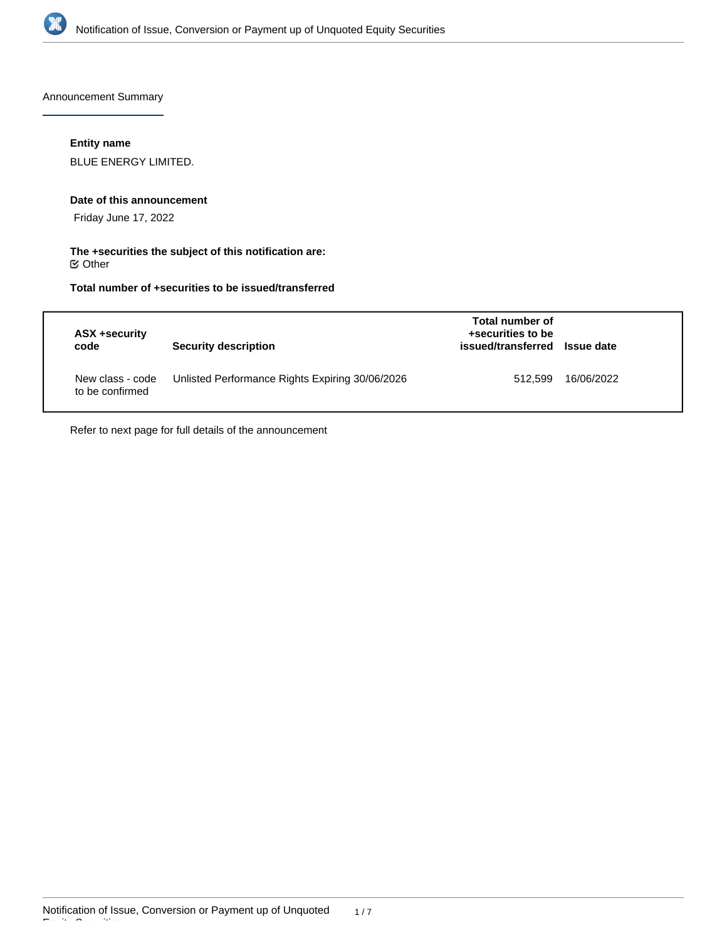

Announcement Summary

# **Entity name**

BLUE ENERGY LIMITED.

#### **Date of this announcement**

Friday June 17, 2022

# **The +securities the subject of this notification are:**  $\mathfrak S$  Other

# **Total number of +securities to be issued/transferred**

| ASX +security<br>code               | <b>Security description</b>                     | Total number of<br>+securities to be<br>issued/transferred Issue date |            |
|-------------------------------------|-------------------------------------------------|-----------------------------------------------------------------------|------------|
| New class - code<br>to be confirmed | Unlisted Performance Rights Expiring 30/06/2026 | 512.599                                                               | 16/06/2022 |

Refer to next page for full details of the announcement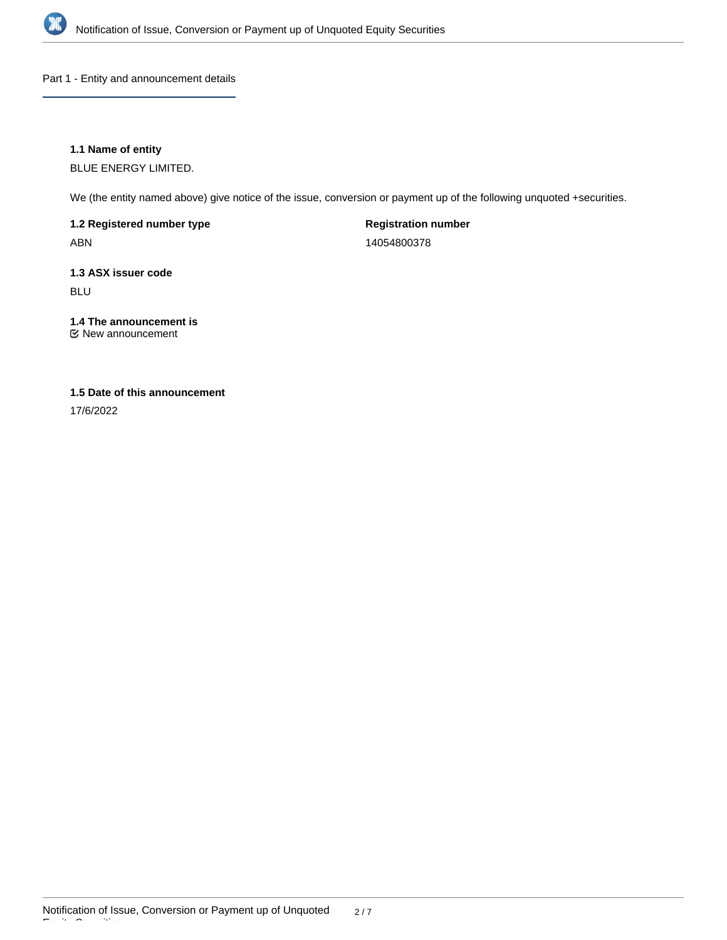

Part 1 - Entity and announcement details

# **1.1 Name of entity**

BLUE ENERGY LIMITED.

We (the entity named above) give notice of the issue, conversion or payment up of the following unquoted +securities.

**1.2 Registered number type** ABN

**Registration number** 14054800378

**1.3 ASX issuer code**

BLU

# **1.4 The announcement is**

New announcement

# **1.5 Date of this announcement**

17/6/2022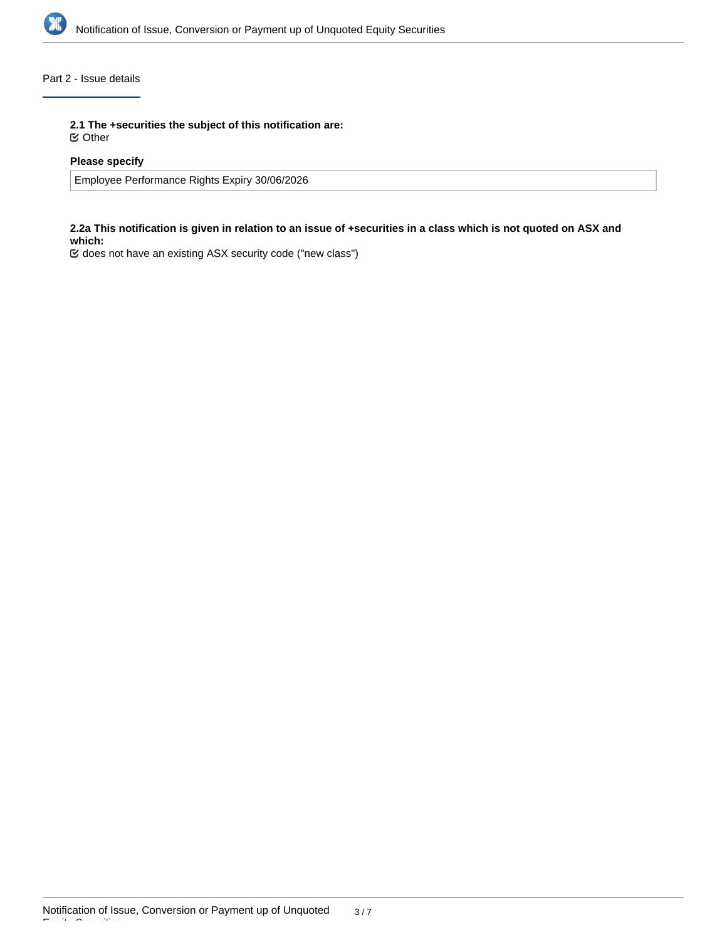

# Part 2 - Issue details

**2.1 The +securities the subject of this notification are:**

Other

# **Please specify**

Employee Performance Rights Expiry 30/06/2026

## **2.2a This notification is given in relation to an issue of +securities in a class which is not quoted on ASX and which:**

does not have an existing ASX security code ("new class")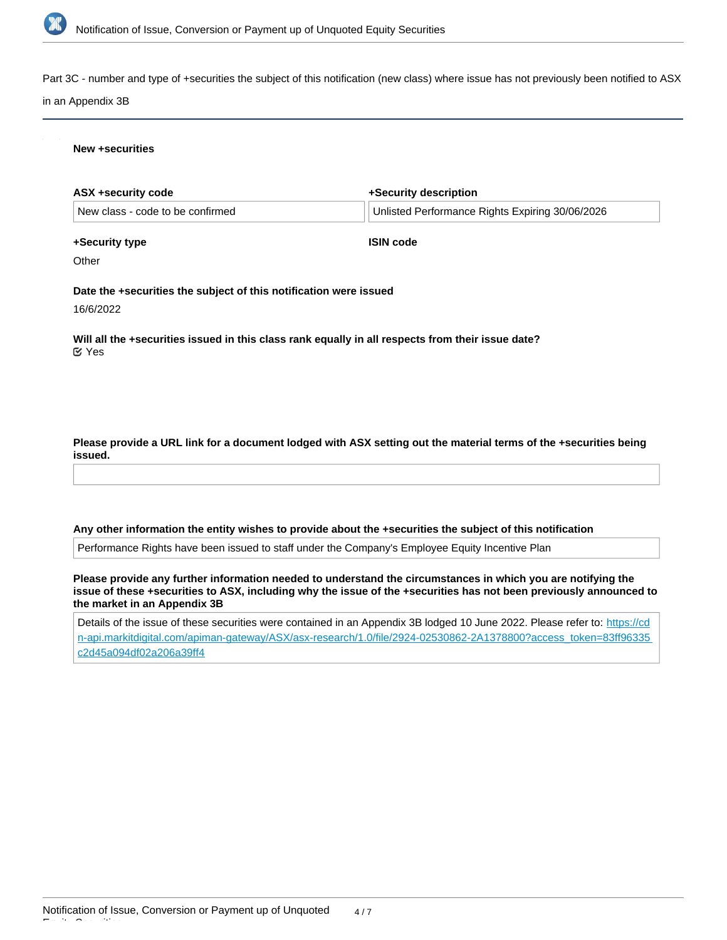

Part 3C - number and type of +securities the subject of this notification (new class) where issue has not previously been notified to ASX

#### in an Appendix 3B

#### **New +securities**

| ASX +security code                                                                                                | +Security description                           |
|-------------------------------------------------------------------------------------------------------------------|-------------------------------------------------|
| New class - code to be confirmed                                                                                  | Unlisted Performance Rights Expiring 30/06/2026 |
| +Security type                                                                                                    | <b>ISIN code</b>                                |
| Other                                                                                                             |                                                 |
| Date the +securities the subject of this notification were issued<br>16/6/2022                                    |                                                 |
| Will all the +securities issued in this class rank equally in all respects from their issue date?<br>$\alpha$ Yes |                                                 |
|                                                                                                                   |                                                 |

## **Please provide a URL link for a document lodged with ASX setting out the material terms of the +securities being issued.**

#### **Any other information the entity wishes to provide about the +securities the subject of this notification**

Performance Rights have been issued to staff under the Company's Employee Equity Incentive Plan

**Please provide any further information needed to understand the circumstances in which you are notifying the issue of these +securities to ASX, including why the issue of the +securities has not been previously announced to the market in an Appendix 3B**

Details of the issue of these securities were contained in an Appendix 3B lodged 10 June 2022. Please refer to: [https://cd](https://cdn-api.markitdigital.com/apiman-gateway/ASX/asx-research/1.0/file/2924-02530862-2A1378800?access_token=83ff96335c2d45a094df02a206a39ff4) [n-api.markitdigital.com/apiman-gateway/ASX/asx-research/1.0/file/2924-02530862-2A1378800?access\\_token=83ff96335](https://cdn-api.markitdigital.com/apiman-gateway/ASX/asx-research/1.0/file/2924-02530862-2A1378800?access_token=83ff96335c2d45a094df02a206a39ff4) [c2d45a094df02a206a39ff4](https://cdn-api.markitdigital.com/apiman-gateway/ASX/asx-research/1.0/file/2924-02530862-2A1378800?access_token=83ff96335c2d45a094df02a206a39ff4)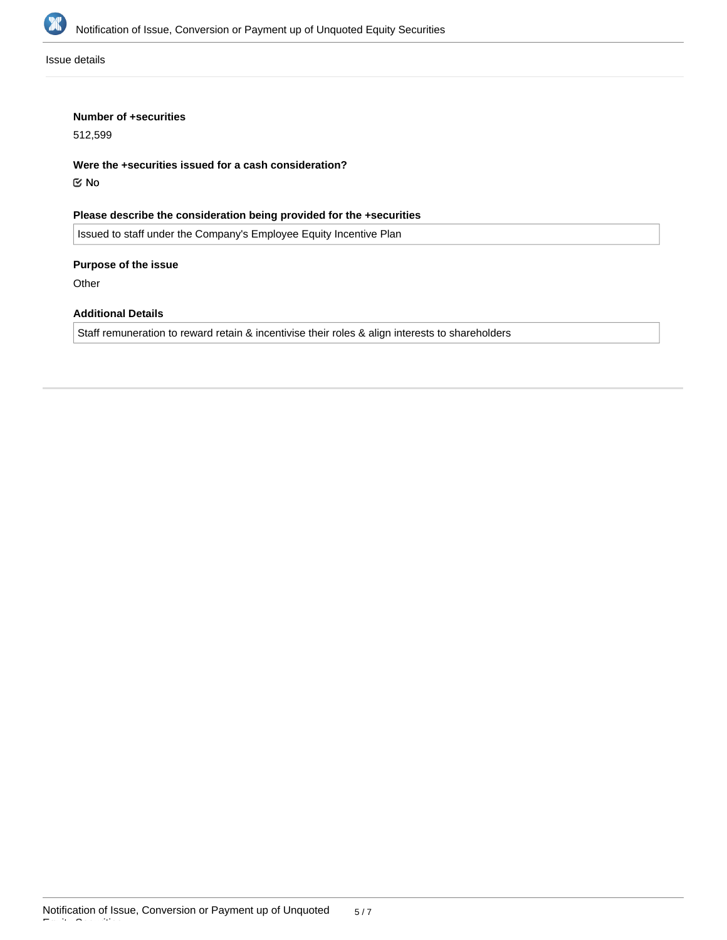

Issue details

### **Number of +securities**

512,599

**Were the +securities issued for a cash consideration?** No

**Please describe the consideration being provided for the +securities**

Issued to staff under the Company's Employee Equity Incentive Plan

**Purpose of the issue**

**Other** 

### **Additional Details**

Staff remuneration to reward retain & incentivise their roles & align interests to shareholders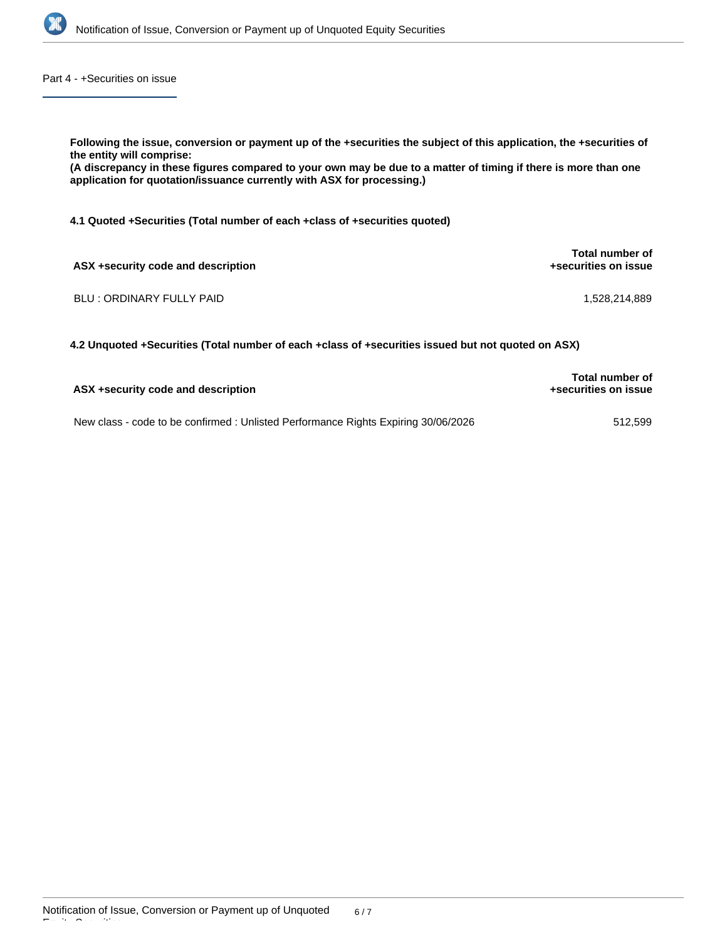

Part 4 - +Securities on issue

**Following the issue, conversion or payment up of the +securities the subject of this application, the +securities of the entity will comprise: (A discrepancy in these figures compared to your own may be due to a matter of timing if there is more than one application for quotation/issuance currently with ASX for processing.) 4.1 Quoted +Securities (Total number of each +class of +securities quoted) ASX +security code and description Total number of +securities on issue**

BLU : ORDINARY FULLY PAID 1,528,214,889

**4.2 Unquoted +Securities (Total number of each +class of +securities issued but not quoted on ASX)**

| ASX +security code and description                                                 | <b>Total number of</b><br>+securities on issue |
|------------------------------------------------------------------------------------|------------------------------------------------|
| New class - code to be confirmed : Unlisted Performance Rights Expiring 30/06/2026 | 512.599                                        |